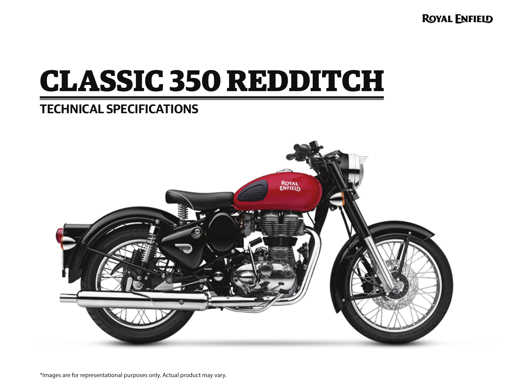**ROYAL ENFIELD** 

# **CLASSIC 350 REDDITCH**

# **TECHNICAL SPECIFICATIONS**